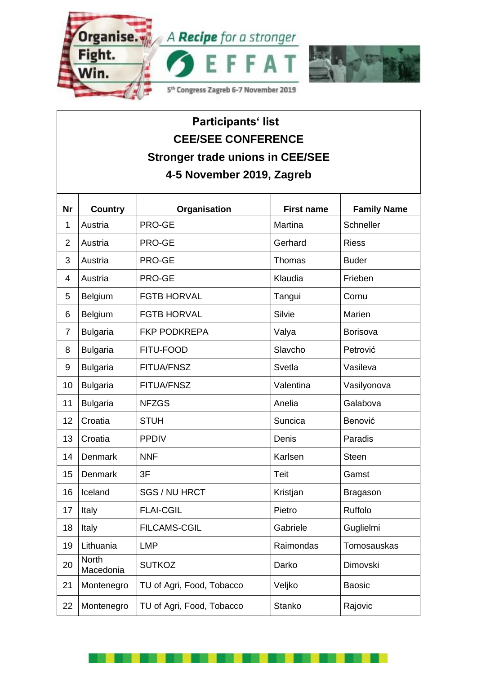

## **Participants' list CEE/SEE CONFERENCE Stronger trade unions in CEE/SEE 4-5 November 2019, Zagreb**

| <b>Nr</b>      | <b>Country</b>     | Organisation              | <b>First name</b> | <b>Family Name</b> |
|----------------|--------------------|---------------------------|-------------------|--------------------|
| 1              | Austria            | PRO-GE                    | Martina           | Schneller          |
| $\overline{2}$ | Austria            | PRO-GE                    | Gerhard           | <b>Riess</b>       |
| 3              | Austria            | PRO-GE                    | Thomas            | <b>Buder</b>       |
| 4              | Austria            | PRO-GE                    | Klaudia           | Frieben            |
| 5              | Belgium            | <b>FGTB HORVAL</b>        | Tangui            | Cornu              |
| 6              | Belgium            | <b>FGTB HORVAL</b>        | Silvie            | Marien             |
| $\overline{7}$ | <b>Bulgaria</b>    | <b>FKP PODKREPA</b>       | Valya             | Borisova           |
| 8              | <b>Bulgaria</b>    | FITU-FOOD                 | Slavcho           | Petrović           |
| 9              | <b>Bulgaria</b>    | FITUA/FNSZ                | Svetla            | Vasileva           |
| 10             | <b>Bulgaria</b>    | <b>FITUA/FNSZ</b>         | Valentina         | Vasilyonova        |
| 11             | <b>Bulgaria</b>    | <b>NFZGS</b>              | Anelia            | Galabova           |
| 12             | Croatia            | <b>STUH</b>               | Suncica           | Benović            |
| 13             | Croatia            | <b>PPDIV</b>              | Denis             | Paradis            |
| 14             | Denmark            | <b>NNF</b>                | Karlsen           | <b>Steen</b>       |
| 15             | Denmark            | 3F                        | Teit              | Gamst              |
| 16             | Iceland            | SGS / NU HRCT             | Kristjan          | <b>Bragason</b>    |
| 17             | Italy              | <b>FLAI-CGIL</b>          | Pietro            | Ruffolo            |
| 18             | Italy              | <b>FILCAMS-CGIL</b>       | Gabriele          | Guglielmi          |
| 19             | Lithuania          | <b>LMP</b>                | Raimondas         | Tomosauskas        |
| 20             | North<br>Macedonia | <b>SUTKOZ</b>             | Darko             | Dimovski           |
| 21             | Montenegro         | TU of Agri, Food, Tobacco | Veljko            | <b>Baosic</b>      |
| 22             | Montenegro         | TU of Agri, Food, Tobacco | <b>Stanko</b>     | Rajovic            |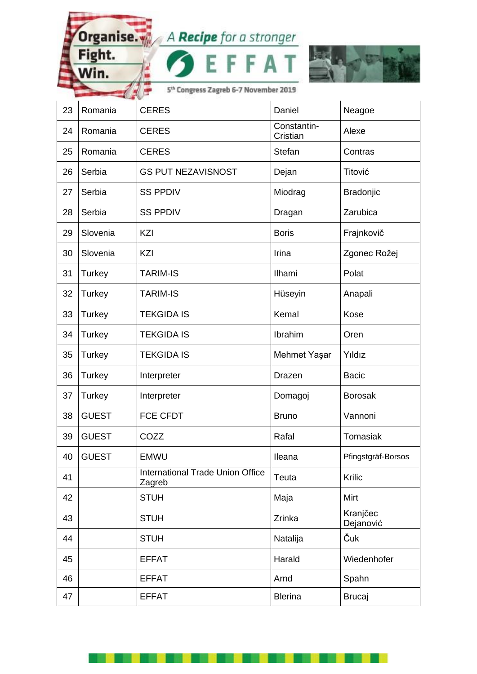Organise. A Recipe for a stronger<br>Fight. F F A T

**FAT** 



5<sup>th</sup> Congress Zagreb 6-7 November 2019

E F

Win.

| 23 | Romania       | <b>CERES</b>                                      | Daniel                  | Neagoe                |
|----|---------------|---------------------------------------------------|-------------------------|-----------------------|
| 24 | Romania       | <b>CERES</b>                                      | Constantin-<br>Cristian | Alexe                 |
| 25 | Romania       | <b>CERES</b>                                      | Stefan                  | Contras               |
| 26 | Serbia        | <b>GS PUT NEZAVISNOST</b>                         | Dejan                   | Titović               |
| 27 | Serbia        | <b>SS PPDIV</b>                                   | Miodrag                 | Bradonjic             |
| 28 | Serbia        | <b>SS PPDIV</b>                                   | Dragan                  | Zarubica              |
| 29 | Slovenia      | KZI                                               | <b>Boris</b>            | Frajnkovič            |
| 30 | Slovenia      | KZI                                               | Irina                   | Zgonec Rožej          |
| 31 | <b>Turkey</b> | <b>TARIM-IS</b>                                   | Ilhami                  | Polat                 |
| 32 | Turkey        | <b>TARIM-IS</b>                                   | Hüseyin                 | Anapali               |
| 33 | Turkey        | <b>TEKGIDA IS</b>                                 | Kemal                   | Kose                  |
| 34 | Turkey        | <b>TEKGIDA IS</b>                                 | Ibrahim                 | Oren                  |
| 35 | Turkey        | <b>TEKGIDA IS</b>                                 | Mehmet Yaşar            | Yıldız                |
| 36 | Turkey        | Interpreter                                       | Drazen                  | <b>Bacic</b>          |
| 37 | Turkey        | Interpreter                                       | Domagoj                 | <b>Borosak</b>        |
| 38 | <b>GUEST</b>  | <b>FCE CFDT</b>                                   | <b>Bruno</b>            | Vannoni               |
| 39 | <b>GUEST</b>  | COZZ                                              | Rafal                   | Tomasiak              |
| 40 | <b>GUEST</b>  | <b>EMWU</b>                                       | Ileana                  | Pfingstgräf-Borsos    |
| 41 |               | <b>International Trade Union Office</b><br>Zagreb | Teuta                   | Krilic                |
| 42 |               | <b>STUH</b>                                       | Maja                    | Mirt                  |
| 43 |               | <b>STUH</b>                                       | Zrinka                  | Kranjčec<br>Dejanović |
| 44 |               | <b>STUH</b>                                       | Natalija                | Čuk                   |
| 45 |               | <b>EFFAT</b>                                      | Harald                  | Wiedenhofer           |
| 46 |               | <b>EFFAT</b>                                      | Arnd                    | Spahn                 |
| 47 |               | <b>EFFAT</b>                                      | <b>Blerina</b>          | <b>Brucaj</b>         |